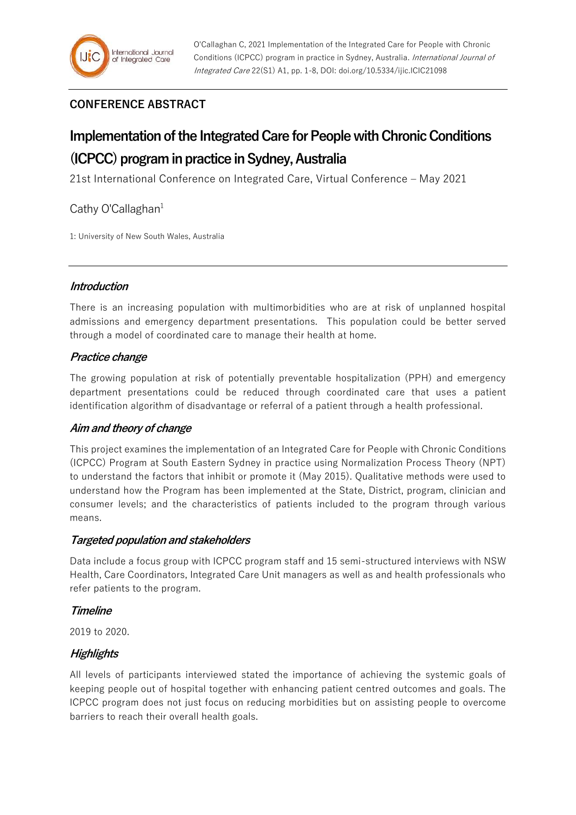# **CONFERENCE ABSTRACT**

# **Implementation of the Integrated Care for People with Chronic Conditions (ICPCC) program in practice in Sydney, Australia**

21st International Conference on Integrated Care, Virtual Conference – May 2021

# Cathy O'Callaghan $1$

1: University of New South Wales, Australia

# **Introduction**

There is an increasing population with multimorbidities who are at risk of unplanned hospital admissions and emergency department presentations. This population could be better served through a model of coordinated care to manage their health at home.

# **Practice change**

The growing population at risk of potentially preventable hospitalization (PPH) and emergency department presentations could be reduced through coordinated care that uses a patient identification algorithm of disadvantage or referral of a patient through a health professional.

# **Aim and theory of change**

This project examines the implementation of an Integrated Care for People with Chronic Conditions (ICPCC) Program at South Eastern Sydney in practice using Normalization Process Theory (NPT) to understand the factors that inhibit or promote it (May 2015). Qualitative methods were used to understand how the Program has been implemented at the State, District, program, clinician and consumer levels; and the characteristics of patients included to the program through various means.

## **Targeted population and stakeholders**

Data include a focus group with ICPCC program staff and 15 semi-structured interviews with NSW Health, Care Coordinators, Integrated Care Unit managers as well as and health professionals who refer patients to the program.

## **Timeline**

2019 to 2020.

# **Highlights**

All levels of participants interviewed stated the importance of achieving the systemic goals of keeping people out of hospital together with enhancing patient centred outcomes and goals. The ICPCC program does not just focus on reducing morbidities but on assisting people to overcome barriers to reach their overall health goals.